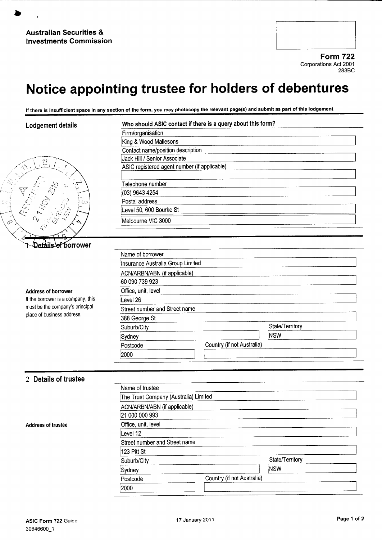$\overline{\zeta}$ 

Form 722 Corporations Act 2001 283BC

## Notice appointing trustee for holders of debentures

If there is insufficient space in any section of the form, you may photocopy the relevant page(s) and submit as part of this lodgement

| Lodgement details                  | Who should ASIC contact if there is a query about this form? |                            |  |  |
|------------------------------------|--------------------------------------------------------------|----------------------------|--|--|
|                                    | Firm/organisation                                            |                            |  |  |
|                                    | King & Wood Mallesons                                        |                            |  |  |
|                                    | Contact name/position description                            |                            |  |  |
|                                    | Jack Hill / Senior Associate                                 |                            |  |  |
|                                    | ASIC registered agent number (if applicable)                 |                            |  |  |
|                                    |                                                              |                            |  |  |
|                                    | Telephone number                                             |                            |  |  |
|                                    | (03) 9643 4254                                               |                            |  |  |
|                                    | Postal address                                               |                            |  |  |
|                                    | Level 50, 600 Bourke St                                      |                            |  |  |
|                                    | Melbourne VIC 3000                                           |                            |  |  |
|                                    |                                                              |                            |  |  |
|                                    |                                                              |                            |  |  |
| lefåils of borrower                |                                                              |                            |  |  |
|                                    | Name of borrower                                             |                            |  |  |
|                                    | Insurance Australia Group Limited                            |                            |  |  |
|                                    | ACN/ARBN/ABN (if applicable)                                 |                            |  |  |
|                                    | 60 090 739 923                                               |                            |  |  |
| <b>Address of borrower</b>         | Office, unit, level                                          |                            |  |  |
| If the borrower is a company, this | Level 26                                                     |                            |  |  |
| must be the company's principal    | Street number and Street name                                |                            |  |  |
| place of business address.         | 388 George St                                                |                            |  |  |
|                                    | Suburb/City                                                  | State/Territory            |  |  |
|                                    | Sydney                                                       | NSW                        |  |  |
|                                    | Postcode                                                     | Country (if not Australia) |  |  |
|                                    | 2000                                                         |                            |  |  |
|                                    |                                                              |                            |  |  |
|                                    |                                                              |                            |  |  |
| 2 Details of trustee               |                                                              |                            |  |  |
|                                    | Name of trustee                                              |                            |  |  |
|                                    | The Trust Company (Australia) Limited                        |                            |  |  |
|                                    | ACN/ARBN/ABN (if applicable)                                 |                            |  |  |
|                                    | 21 000 000 993                                               |                            |  |  |
|                                    | Office, unit, level                                          |                            |  |  |
| <b>Address of trustee</b>          |                                                              |                            |  |  |
|                                    | Level 12                                                     |                            |  |  |
|                                    | Street number and Street name                                |                            |  |  |
|                                    | 123 Pitt St                                                  |                            |  |  |
|                                    | Suburb/City                                                  | State/Territory            |  |  |
|                                    | <b>NSW</b><br>Sydney                                         |                            |  |  |
|                                    | Postcode                                                     | Country (if not Australia) |  |  |
|                                    | 2000                                                         |                            |  |  |